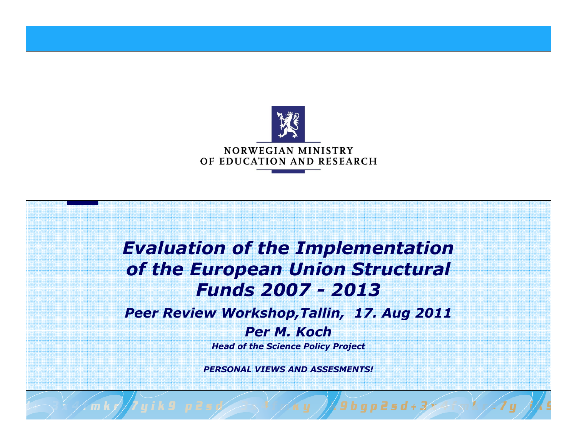

#### *Evaluation of the Implementation of the European Union Structural Funds 2007 - <sup>2013</sup>*

*Peer Review Workshop,Tallin, 17. Aug 2011*

*Per M. KochHead of the Science Policy Project*

*PERSONAL VIEWS AND ASSESMENTS!*

 $\frac{1}{2}$  9 b q p 2 s d + 3  $\times$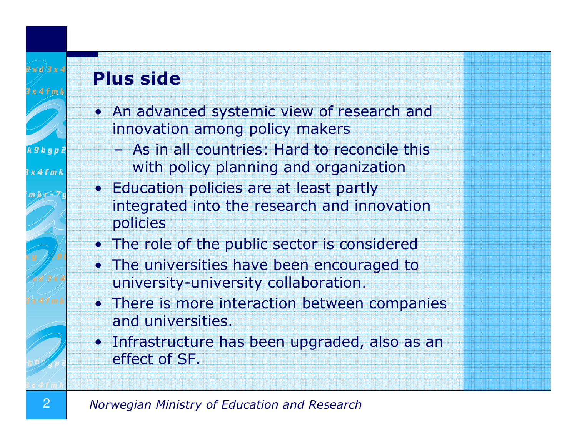#### **Plus side**

- An advanced systemic view of research and<br>innovation among policy makers innovation among policy makers
	- As in all countries: Hard to reconcile this<br>with nolicy planning and organization with policy planning and organization
- Education policies are at least partly integrated into the research and innovation policies
- The role of the public sector is considered<br>• The universities have been encouraged to
- The universities have been encouraged to<br>university-university collaboration university-university collaboration.
- • There is more interaction between companies and universities.
- Infrastructure has been upgraded, also as an<br>effect of SE effect of SF.

and/3 x +

 $4$  f m  $\sqrt{ }$ 

k 9 b g p 2

 $x 4 fm k$ 

 $m kf = ?$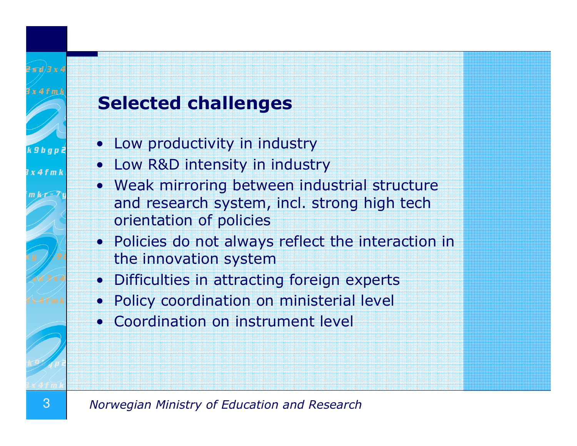

## **Selected challenges**

- Low productivity in industry<br>• Low B&D intensity in indust
- Low R&D intensity in industry
- Weak mirroring between industrial structure and research system, incl. strong high tech orientation of policies
- Policies do not always reflect the interaction in the innovation system
- Difficulties in attracting foreign experts<br>• Pelier coordination on ministerial lovel
- Policy coordination on ministerial level<br>• Coordination on instrument level
- Coordination on instrument level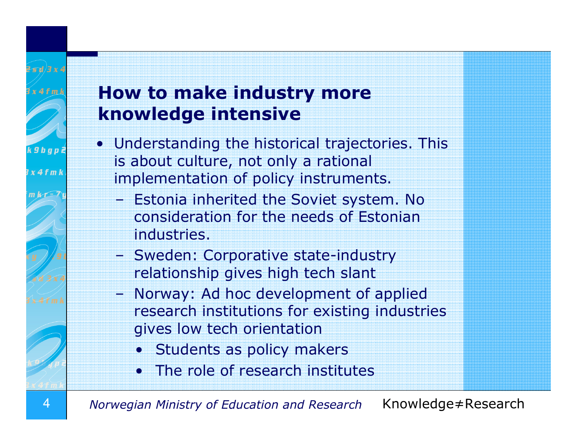

#### **How to make industry more knowledge intensive**

- Understanding the historical trajectories. This is about culture, not only a rational implementation of policy instruments.
	- $\mathcal{L}_{\mathcal{A}}$  Estonia inherited the Soviet system. No consideration for the needs of Estonian industries.
	- $\mathcal{L}_{\mathcal{A}}$ Sweden: Corporative state-industry<br>relationship gives high tech slant relationship gives high tech slant
	- $\mathcal{L}_{\mathcal{A}}$ Norway: Ad hoc development of applied<br>research institutions for existing industria research institutions for existing industries gives low tech orientation
		- Students as policy makers<br>• The rela of research institu
		- $\bullet$ The role of research institutes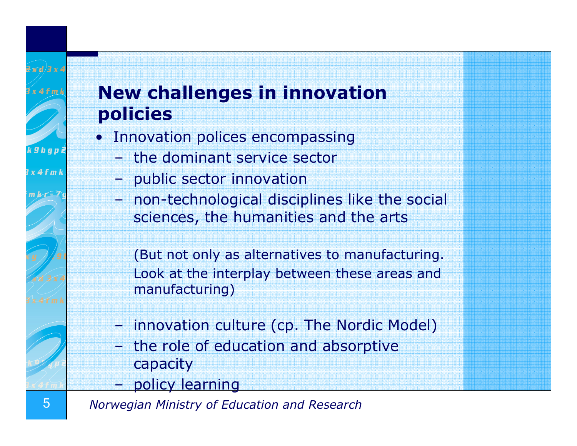

### **New challenges in innovation policies**

- Innovation polices encompassing<br>the deminant service sector
	- the dominant service sector<br>nublis sector innevation
	- public sector innovation
	- non-technological disciplines like the social<br>sciences the humanities and the arts sciences, the humanities and the arts

(But not only as alternatives to manufacturing.Look at the interplay between these areas and manufacturing)

- innovation culture (cp. The Nordic Model)
- the role of education and absorptive<br>canacity capacity
- policy learning<br>Ninistry of Edi

*Norwegian Ministry of Education and Research*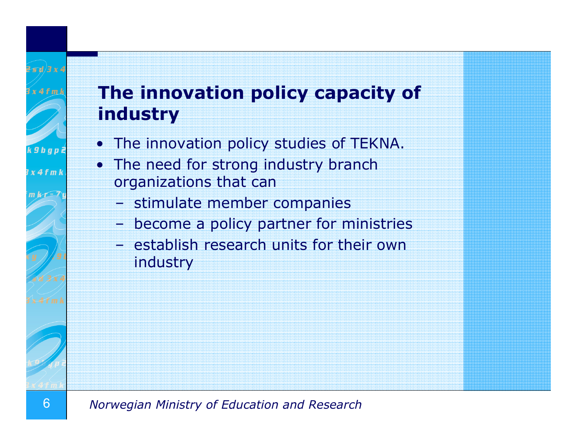# **The innovation policy capacity of industry**

- The innovation policy studies of TEKNA.<br>• The need far streng industry branch
- The need for strong industry branch<br>organizations that can organizations that can
	- $\mathcal{L}_{\mathcal{A}}$ stimulate member companies
	- $\mathcal{L}_{\mathcal{A}}$ become a policy partner for ministries
	- $\mathcal{L}_{\mathcal{A}}$ establish research units for their own<br>industry industry

s 1/3 x 4

x 4 f m l

.<br>k 9 b g p 2

 $x 4 fm k$ 

 $m k \in 7$